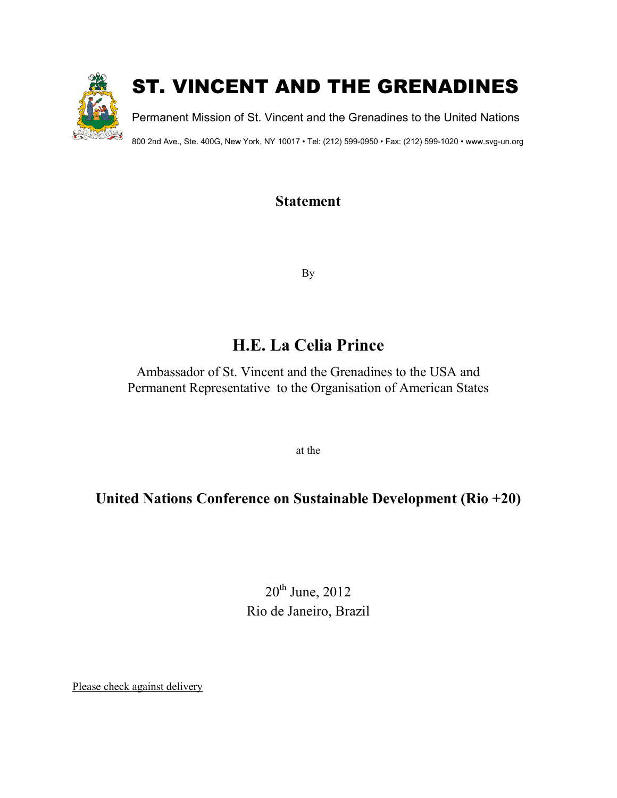

# ST. VINCENT AND THE GRENADINES

Permanent Mission of St. Vincent and the Grenadines to the United Nations 800 2nd Ave., Ste. 400G, New York, NY 10017 • Tel: (212) 599-0950 • Fax: (212) 599-1020 • www.svg-un.org

## **Statement**

By

## **H.E. La Celia Prince**

Ambassador of St. Vincent and the Grenadines to the USA and Permanent Representative to the Organisation of American States

at the

## **United Nations Conference on Sustainable Development (Rio +20)**

20<sup>th</sup> June, 2012 Rio de Janeiro, Brazil

Please check against delivery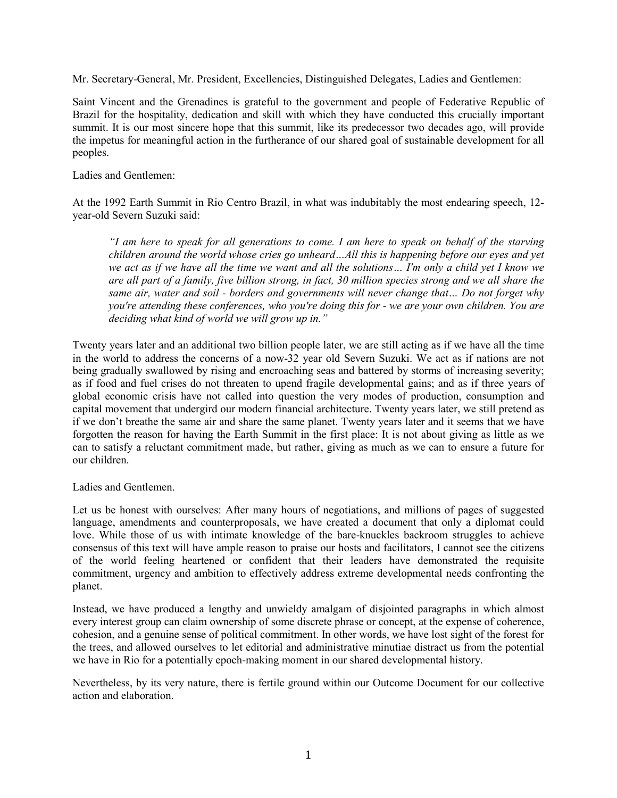Mr. Secretary-General, Mr. President, Excellencies, Distinguished Delegates, Ladies and Gentlemen:

Saint Vincent and the Grenadines is grateful to the government and people of Federative Republic of Brazil for the hospitality, dedication and skill with which they have conducted this crucially important summit. It is our most sincere hope that this summit, like its predecessor two decades ago, will provide the impetus for meaningful action in the furtherance of our shared goal of sustainable development for all peoples.

Ladies and Gentlemen:

At the 1992 Earth Summit in Rio Centro Brazil, in what was indubitably the most endearing speech, 12 year-old Severn Suzuki said:

*"I am here to speak for all generations to come. I am here to speak on behalf of the starving children around the world whose cries go unheard…All this is happening before our eyes and yet we act as if we have all the time we want and all the solutions… I'm only a child yet I know we are all part of a family, five billion strong, in fact, 30 million species strong and we all share the same air, water and soil - borders and governments will never change that… Do not forget why you're attending these conferences, who you're doing this for - we are your own children. You are deciding what kind of world we will grow up in."* 

Twenty years later and an additional two billion people later, we are still acting as if we have all the time in the world to address the concerns of a now-32 year old Severn Suzuki. We act as if nations are not being gradually swallowed by rising and encroaching seas and battered by storms of increasing severity; as if food and fuel crises do not threaten to upend fragile developmental gains; and as if three years of global economic crisis have not called into question the very modes of production, consumption and capital movement that undergird our modern financial architecture. Twenty years later, we still pretend as if we don't breathe the same air and share the same planet. Twenty years later and it seems that we have forgotten the reason for having the Earth Summit in the first place: It is not about giving as little as we can to satisfy a reluctant commitment made, but rather, giving as much as we can to ensure a future for our children.

Ladies and Gentlemen.

Let us be honest with ourselves: After many hours of negotiations, and millions of pages of suggested language, amendments and counterproposals, we have created a document that only a diplomat could love. While those of us with intimate knowledge of the bare-knuckles backroom struggles to achieve consensus of this text will have ample reason to praise our hosts and facilitators, I cannot see the citizens of the world feeling heartened or confident that their leaders have demonstrated the requisite commitment, urgency and ambition to effectively address extreme developmental needs confronting the planet.

Instead, we have produced a lengthy and unwieldy amalgam of disjointed paragraphs in which almost every interest group can claim ownership of some discrete phrase or concept, at the expense of coherence, cohesion, and a genuine sense of political commitment. In other words, we have lost sight of the forest for the trees, and allowed ourselves to let editorial and administrative minutiae distract us from the potential we have in Rio for a potentially epoch-making moment in our shared developmental history.

Nevertheless, by its very nature, there is fertile ground within our Outcome Document for our collective action and elaboration.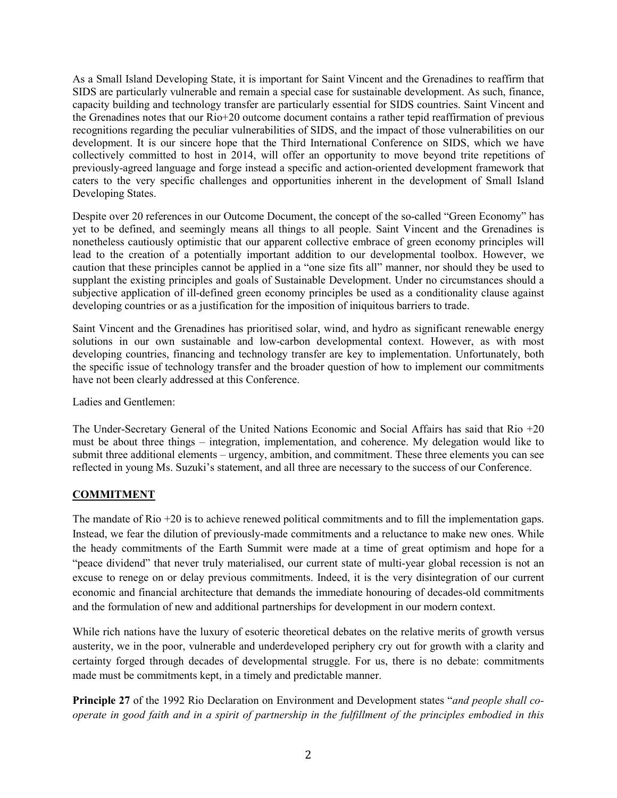As a Small Island Developing State, it is important for Saint Vincent and the Grenadines to reaffirm that SIDS are particularly vulnerable and remain a special case for sustainable development. As such, finance, capacity building and technology transfer are particularly essential for SIDS countries. Saint Vincent and the Grenadines notes that our Rio+20 outcome document contains a rather tepid reaffirmation of previous recognitions regarding the peculiar vulnerabilities of SIDS, and the impact of those vulnerabilities on our development. It is our sincere hope that the Third International Conference on SIDS, which we have collectively committed to host in 2014, will offer an opportunity to move beyond trite repetitions of previously-agreed language and forge instead a specific and action-oriented development framework that caters to the very specific challenges and opportunities inherent in the development of Small Island Developing States.

Despite over 20 references in our Outcome Document, the concept of the so-called "Green Economy" has yet to be defined, and seemingly means all things to all people. Saint Vincent and the Grenadines is nonetheless cautiously optimistic that our apparent collective embrace of green economy principles will lead to the creation of a potentially important addition to our developmental toolbox. However, we caution that these principles cannot be applied in a "one size fits all" manner, nor should they be used to supplant the existing principles and goals of Sustainable Development. Under no circumstances should a subjective application of ill-defined green economy principles be used as a conditionality clause against developing countries or as a justification for the imposition of iniquitous barriers to trade.

Saint Vincent and the Grenadines has prioritised solar, wind, and hydro as significant renewable energy solutions in our own sustainable and low-carbon developmental context. However, as with most developing countries, financing and technology transfer are key to implementation. Unfortunately, both the specific issue of technology transfer and the broader question of how to implement our commitments have not been clearly addressed at this Conference.

Ladies and Gentlemen:

The Under-Secretary General of the United Nations Economic and Social Affairs has said that Rio +20 must be about three things – integration, implementation, and coherence. My delegation would like to submit three additional elements – urgency, ambition, and commitment. These three elements you can see reflected in young Ms. Suzuki's statement, and all three are necessary to the success of our Conference.

### **COMMITMENT**

The mandate of Rio +20 is to achieve renewed political commitments and to fill the implementation gaps. Instead, we fear the dilution of previously-made commitments and a reluctance to make new ones. While the heady commitments of the Earth Summit were made at a time of great optimism and hope for a "peace dividend" that never truly materialised, our current state of multi-year global recession is not an excuse to renege on or delay previous commitments. Indeed, it is the very disintegration of our current economic and financial architecture that demands the immediate honouring of decades-old commitments and the formulation of new and additional partnerships for development in our modern context.

While rich nations have the luxury of esoteric theoretical debates on the relative merits of growth versus austerity, we in the poor, vulnerable and underdeveloped periphery cry out for growth with a clarity and certainty forged through decades of developmental struggle. For us, there is no debate: commitments made must be commitments kept, in a timely and predictable manner.

**Principle 27** of the 1992 Rio Declaration on Environment and Development states "*and people shall cooperate in good faith and in a spirit of partnership in the fulfillment of the principles embodied in this*